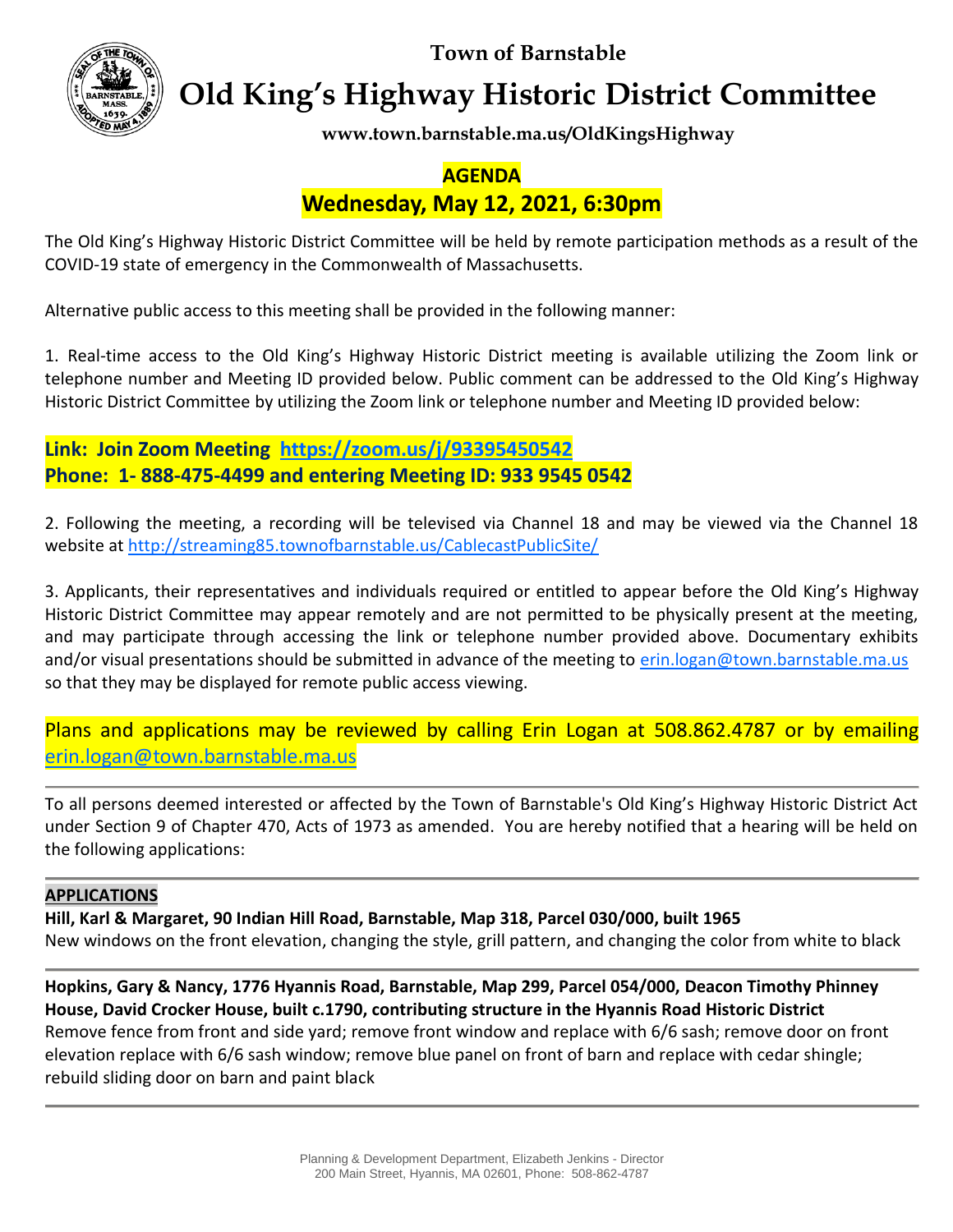**Town of Barnstable**



**Old King's Highway Historic District Committee**

**www.town.barnstable.ma.us/OldKingsHighway**

## **AGENDA**

# **Wednesday, May 12, 2021, 6:30pm**

The Old King's Highway Historic District Committee will be held by remote participation methods as a result of the COVID-19 state of emergency in the Commonwealth of Massachusetts.

Alternative public access to this meeting shall be provided in the following manner:

1. Real-time access to the Old King's Highway Historic District meeting is available utilizing the Zoom link or telephone number and Meeting ID provided below. Public comment can be addressed to the Old King's Highway Historic District Committee by utilizing the Zoom link or telephone number and Meeting ID provided below:

**Link: Join Zoom Meeting <https://zoom.us/j/93395450542> Phone: 1- 888-475-4499 and entering Meeting ID: 933 9545 0542**

2. Following the meeting, a recording will be televised via Channel 18 and may be viewed via the Channel 18 website at<http://streaming85.townofbarnstable.us/CablecastPublicSite/>

3. Applicants, their representatives and individuals required or entitled to appear before the Old King's Highway Historic District Committee may appear remotely and are not permitted to be physically present at the meeting, and may participate through accessing the link or telephone number provided above. Documentary exhibits and/or visual presentations should be submitted in advance of the meeting to [erin.logan@town.barnstable.ma.us](mailto:erin.logan@town.barnstable.ma.us) so that they may be displayed for remote public access viewing.

Plans and applications may be reviewed by calling Erin Logan at 508.862.4787 or by emailing [erin.logan@town.barnstable.ma.us](mailto:erin.logan@town.barnstable.ma.us)

To all persons deemed interested or affected by the Town of Barnstable's Old King's Highway Historic District Act under Section 9 of Chapter 470, Acts of 1973 as amended. You are hereby notified that a hearing will be held on the following applications:

### **APPLICATIONS**

**Hill, Karl & Margaret, 90 Indian Hill Road, Barnstable, Map 318, Parcel 030/000, built 1965** New windows on the front elevation, changing the style, grill pattern, and changing the color from white to black

**Hopkins, Gary & Nancy, 1776 Hyannis Road, Barnstable, Map 299, Parcel 054/000, Deacon Timothy Phinney House, David Crocker House, built c.1790, contributing structure in the Hyannis Road Historic District** Remove fence from front and side yard; remove front window and replace with 6/6 sash; remove door on front elevation replace with 6/6 sash window; remove blue panel on front of barn and replace with cedar shingle; rebuild sliding door on barn and paint black